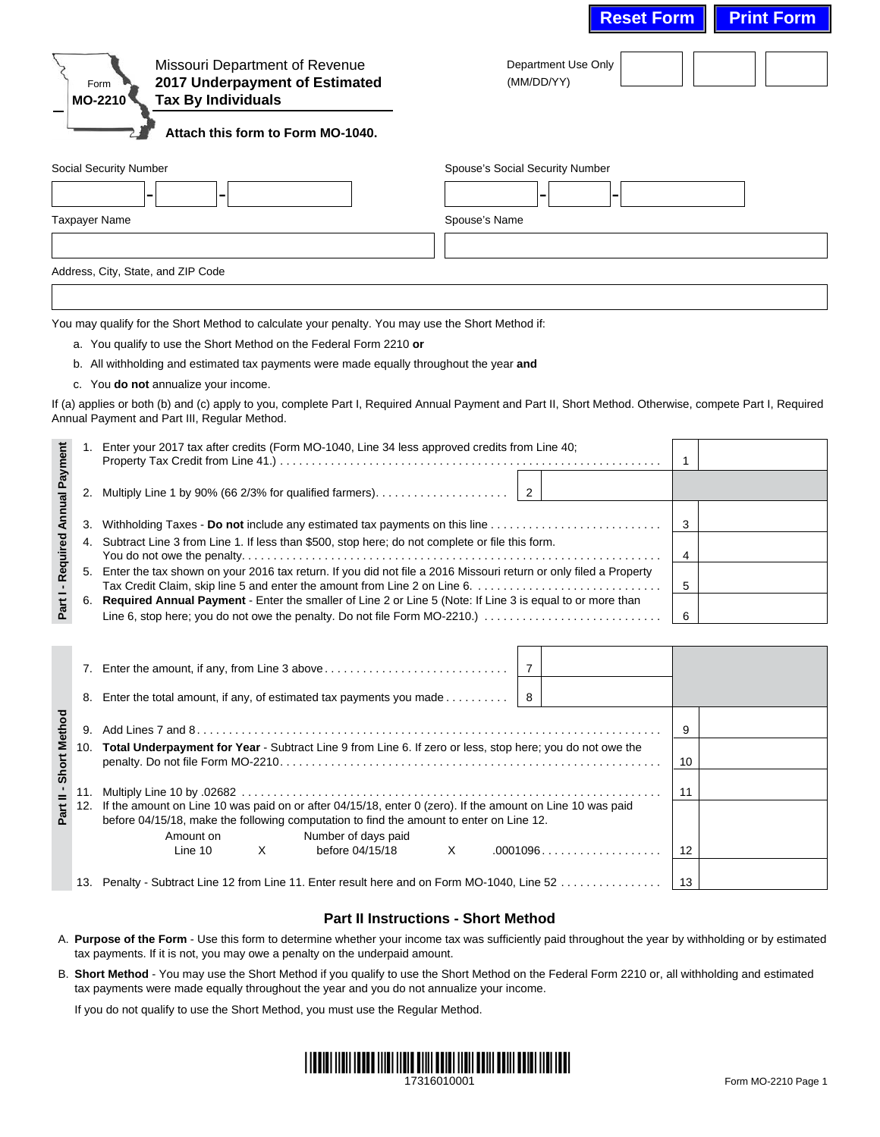|                                  |     |                                                                                                                                                                                                                                                                                                                                                                                                                                                                                                                       |                                 |                                   | <b>Reset Form</b> | <b>Print Form</b> |
|----------------------------------|-----|-----------------------------------------------------------------------------------------------------------------------------------------------------------------------------------------------------------------------------------------------------------------------------------------------------------------------------------------------------------------------------------------------------------------------------------------------------------------------------------------------------------------------|---------------------------------|-----------------------------------|-------------------|-------------------|
|                                  |     | Missouri Department of Revenue<br>2017 Underpayment of Estimated<br>Form<br><b>Tax By Individuals</b><br>MO-2210<br>Attach this form to Form MO-1040.                                                                                                                                                                                                                                                                                                                                                                 |                                 | Department Use Only<br>(MM/DD/YY) |                   |                   |
|                                  |     | Social Security Number                                                                                                                                                                                                                                                                                                                                                                                                                                                                                                | Spouse's Social Security Number |                                   |                   |                   |
|                                  |     |                                                                                                                                                                                                                                                                                                                                                                                                                                                                                                                       |                                 |                                   |                   |                   |
|                                  |     | <b>Taxpayer Name</b>                                                                                                                                                                                                                                                                                                                                                                                                                                                                                                  | Spouse's Name                   |                                   |                   |                   |
|                                  |     |                                                                                                                                                                                                                                                                                                                                                                                                                                                                                                                       |                                 |                                   |                   |                   |
|                                  |     |                                                                                                                                                                                                                                                                                                                                                                                                                                                                                                                       |                                 |                                   |                   |                   |
|                                  |     | Address, City, State, and ZIP Code                                                                                                                                                                                                                                                                                                                                                                                                                                                                                    |                                 |                                   |                   |                   |
|                                  |     | You may qualify for the Short Method to calculate your penalty. You may use the Short Method if:<br>a. You qualify to use the Short Method on the Federal Form 2210 or<br>b. All withholding and estimated tax payments were made equally throughout the year and<br>c. You do not annualize your income.<br>If (a) applies or both (b) and (c) apply to you, complete Part I, Required Annual Payment and Part II, Short Method. Otherwise, compete Part I, Required<br>Annual Payment and Part III, Regular Method. |                                 |                                   |                   |                   |
|                                  | 1.  | Enter your 2017 tax after credits (Form MO-1040, Line 34 less approved credits from Line 40;                                                                                                                                                                                                                                                                                                                                                                                                                          |                                 |                                   |                   |                   |
|                                  |     |                                                                                                                                                                                                                                                                                                                                                                                                                                                                                                                       |                                 |                                   | $\mathbf{1}$      |                   |
|                                  | 2.  |                                                                                                                                                                                                                                                                                                                                                                                                                                                                                                                       | $\overline{2}$                  |                                   |                   |                   |
|                                  | 3.  |                                                                                                                                                                                                                                                                                                                                                                                                                                                                                                                       | 3                               |                                   |                   |                   |
|                                  | 4.  | Subtract Line 3 from Line 1. If less than \$500, stop here; do not complete or file this form.                                                                                                                                                                                                                                                                                                                                                                                                                        | 4                               |                                   |                   |                   |
| Part I - Required Annual Payment | 5.  | Enter the tax shown on your 2016 tax return. If you did not file a 2016 Missouri return or only filed a Property<br>Tax Credit Claim, skip line 5 and enter the amount from Line 2 on Line 6.<br>6. Required Annual Payment - Enter the smaller of Line 2 or Line 5 (Note: If Line 3 is equal to or more than<br>Line 6, stop here; you do not owe the penalty. Do not file Form MO-2210.)                                                                                                                            | 5<br>6                          |                                   |                   |                   |
|                                  |     |                                                                                                                                                                                                                                                                                                                                                                                                                                                                                                                       |                                 |                                   |                   |                   |
|                                  |     |                                                                                                                                                                                                                                                                                                                                                                                                                                                                                                                       |                                 | 7                                 |                   |                   |
|                                  | 8.  | Enter the total amount, if any, of estimated tax payments you made                                                                                                                                                                                                                                                                                                                                                                                                                                                    |                                 | 8                                 |                   |                   |
|                                  |     |                                                                                                                                                                                                                                                                                                                                                                                                                                                                                                                       |                                 |                                   | 9                 |                   |
| - Short Method                   | 10. | Total Underpayment for Year - Subtract Line 9 from Line 6. If zero or less, stop here; you do not owe the                                                                                                                                                                                                                                                                                                                                                                                                             |                                 |                                   |                   |                   |
|                                  |     |                                                                                                                                                                                                                                                                                                                                                                                                                                                                                                                       |                                 |                                   | 10                |                   |
| Part II                          |     | 12. If the amount on Line 10 was paid on or after 04/15/18, enter 0 (zero). If the amount on Line 10 was paid<br>before 04/15/18, make the following computation to find the amount to enter on Line 12.                                                                                                                                                                                                                                                                                                              | 11                              |                                   |                   |                   |
|                                  |     | Number of days paid<br>Amount on<br>before 04/15/18<br>Line 10<br>Χ                                                                                                                                                                                                                                                                                                                                                                                                                                                   | Χ                               |                                   | .0001096<br>12    |                   |
|                                  |     | 13. Penalty - Subtract Line 12 from Line 11. Enter result here and on Form MO-1040, Line 52                                                                                                                                                                                                                                                                                                                                                                                                                           |                                 |                                   | 13                |                   |

## **Part II Instructions - Short Method**

- A. **Purpose of the Form** Use this form to determine whether your income tax was sufficiently paid throughout the year by withholding or by estimated tax payments. If it is not, you may owe a penalty on the underpaid amount.
- B. **Short Method** You may use the Short Method if you qualify to use the Short Method on the Federal Form 2210 or, all withholding and estimated tax payments were made equally throughout the year and you do not annualize your income.

If you do not qualify to use the Short Method, you must use the Regular Method.

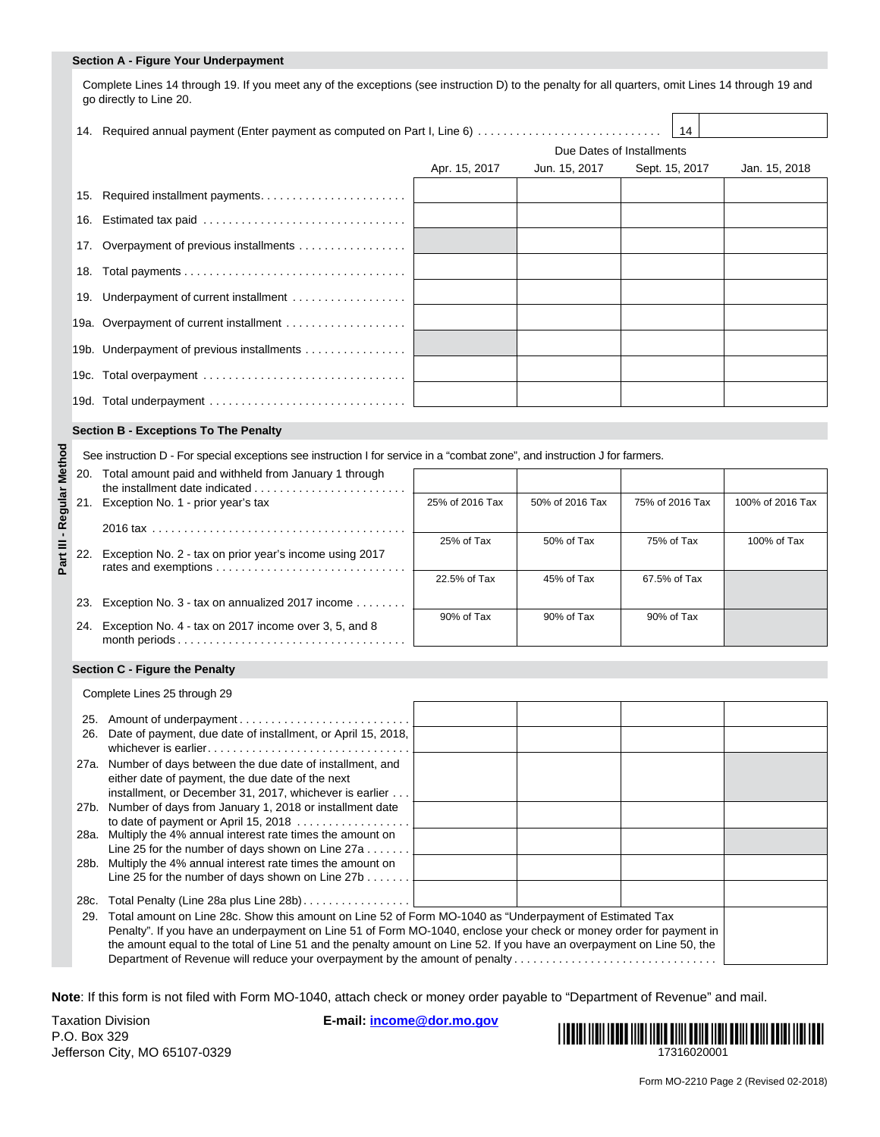#### **Section A - Figure Your Underpayment**

Complete Lines 14 through 19. If you meet any of the exceptions (see instruction D) to the penalty for all quarters, omit Lines 14 through 19 and go directly to Line 20.

|                                            | Due Dates of Installments |               |                |               |
|--------------------------------------------|---------------------------|---------------|----------------|---------------|
|                                            | Apr. 15, 2017             | Jun. 15, 2017 | Sept. 15, 2017 | Jan. 15, 2018 |
| 15. Required installment payments          |                           |               |                |               |
|                                            |                           |               |                |               |
| 17. Overpayment of previous installments   |                           |               |                |               |
|                                            |                           |               |                |               |
| 19. Underpayment of current installment    |                           |               |                |               |
| 19a. Overpayment of current installment    |                           |               |                |               |
| 19b. Underpayment of previous installments |                           |               |                |               |
|                                            |                           |               |                |               |
|                                            |                           |               |                |               |

#### **Section B - Exceptions To The Penalty**

| ğ       | See instruction D - For special exceptions see instruction I for service in a "combat zone", and instruction J for farmers. |                                                         |                 |                 |                 |                  |  |  |  |
|---------|-----------------------------------------------------------------------------------------------------------------------------|---------------------------------------------------------|-----------------|-----------------|-----------------|------------------|--|--|--|
| हृ      | 20.                                                                                                                         | Total amount paid and withheld from January 1 through   |                 |                 |                 |                  |  |  |  |
|         | Regular<br>Reg                                                                                                              | Exception No. 1 - prior year's tax                      | 25% of 2016 Tax | 50% of 2016 Tax | 75% of 2016 Tax | 100% of 2016 Tax |  |  |  |
|         |                                                                                                                             |                                                         |                 |                 |                 |                  |  |  |  |
| lll tar | 22.                                                                                                                         | Exception No. 2 - tax on prior year's income using 2017 | 25% of Tax      | 50% of Tax      | 75% of Tax      | 100% of Tax      |  |  |  |
|         |                                                                                                                             |                                                         | 22.5% of Tax    | 45% of Tax      | 67.5% of Tax    |                  |  |  |  |
|         | 23.                                                                                                                         | Exception No. 3 - tax on annualized 2017 income         |                 |                 |                 |                  |  |  |  |
|         | 24.                                                                                                                         | Exception No. 4 - tax on 2017 income over 3, 5, and 8   | 90% of Tax      | 90% of Tax      | 90% of Tax      |                  |  |  |  |

### **Section C - Figure the Penalty**

Complete Lines 25 through 29

| 25.                                                                                                            |                                                                                                                                                                             |  |  |  |  |  |
|----------------------------------------------------------------------------------------------------------------|-----------------------------------------------------------------------------------------------------------------------------------------------------------------------------|--|--|--|--|--|
| 26.                                                                                                            | Date of payment, due date of installment, or April 15, 2018,                                                                                                                |  |  |  |  |  |
|                                                                                                                | 27a. Number of days between the due date of installment, and<br>either date of payment, the due date of the next<br>installment, or December 31, 2017, whichever is earlier |  |  |  |  |  |
|                                                                                                                | 27b. Number of days from January 1, 2018 or installment date                                                                                                                |  |  |  |  |  |
|                                                                                                                | to date of payment or April 15, 2018 $\ldots$                                                                                                                               |  |  |  |  |  |
|                                                                                                                | 28a. Multiply the 4% annual interest rate times the amount on                                                                                                               |  |  |  |  |  |
|                                                                                                                | Line 25 for the number of days shown on Line 27a                                                                                                                            |  |  |  |  |  |
|                                                                                                                | 28b. Multiply the 4% annual interest rate times the amount on                                                                                                               |  |  |  |  |  |
|                                                                                                                | Line 25 for the number of days shown on Line $27b$                                                                                                                          |  |  |  |  |  |
|                                                                                                                |                                                                                                                                                                             |  |  |  |  |  |
| 28c.                                                                                                           | Total Penalty (Line 28a plus Line 28b)                                                                                                                                      |  |  |  |  |  |
| Total amount on Line 28c. Show this amount on Line 52 of Form MO-1040 as "Underpayment of Estimated Tax<br>29. |                                                                                                                                                                             |  |  |  |  |  |
|                                                                                                                | Penalty". If you have an underpayment on Line 51 of Form MO-1040, enclose your check or money order for payment in                                                          |  |  |  |  |  |
|                                                                                                                |                                                                                                                                                                             |  |  |  |  |  |
|                                                                                                                | the amount equal to the total of Line 51 and the penalty amount on Line 52. If you have an overpayment on Line 50, the                                                      |  |  |  |  |  |
|                                                                                                                | Department of Revenue will reduce your overpayment by the amount of penalty                                                                                                 |  |  |  |  |  |

**Note**: If this form is not filed with Form MO-1040, attach check or money order payable to "Department of Revenue" and mail.

Taxation Division **E-mail: income@dor.mo.gov** P.O. Box 329 Jefferson City, MO 65107-0329



 $\Box$  $\overline{\phantom{a}}$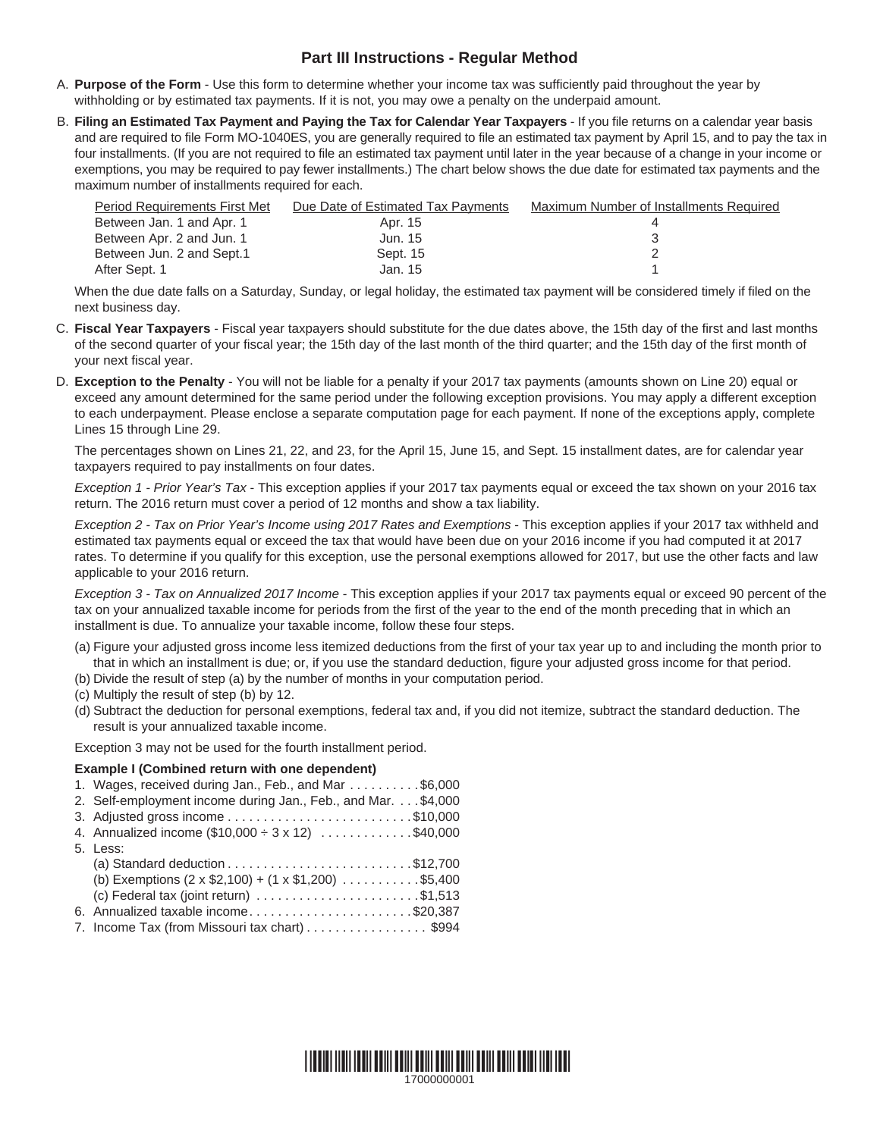# **Part III Instructions - Regular Method**

- A. **Purpose of the Form** Use this form to determine whether your income tax was sufficiently paid throughout the year by withholding or by estimated tax payments. If it is not, you may owe a penalty on the underpaid amount.
- B. **Filing an Estimated Tax Payment and Paying the Tax for Calendar Year Taxpayers** If you file returns on a calendar year basis and are required to file Form MO-1040ES, you are generally required to file an estimated tax payment by April 15, and to pay the tax in four installments. (If you are not required to file an estimated tax payment until later in the year because of a change in your income or exemptions, you may be required to pay fewer installments.) The chart below shows the due date for estimated tax payments and the maximum number of installments required for each.

| Period Requirements First Met | Due Date of Estimated Tax Payments | Maximum Number of Installments Required |
|-------------------------------|------------------------------------|-----------------------------------------|
| Between Jan. 1 and Apr. 1     | Apr. 15                            |                                         |
| Between Apr. 2 and Jun. 1     | Jun. 15                            |                                         |
| Between Jun. 2 and Sept.1     | Sept. 15                           |                                         |
| After Sept. 1                 | Jan. 15                            |                                         |

 When the due date falls on a Saturday, Sunday, or legal holiday, the estimated tax payment will be considered timely if filed on the next business day.

- C. **Fiscal Year Taxpayers** Fiscal year taxpayers should substitute for the due dates above, the 15th day of the first and last months of the second quarter of your fiscal year; the 15th day of the last month of the third quarter; and the 15th day of the first month of your next fiscal year.
- D. **Exception to the Penalty** You will not be liable for a penalty if your 2017 tax payments (amounts shown on Line 20) equal or exceed any amount determined for the same period under the following exception provisions. You may apply a different exception to each underpayment. Please enclose a separate computation page for each payment. If none of the exceptions apply, complete Lines 15 through Line 29.

 The percentages shown on Lines 21, 22, and 23, for the April 15, June 15, and Sept. 15 installment dates, are for calendar year taxpayers required to pay installments on four dates.

 *Exception 1 - Prior Year's Tax* - This exception applies if your 2017 tax payments equal or exceed the tax shown on your 2016 tax return. The 2016 return must cover a period of 12 months and show a tax liability.

 *Exception 2 - Tax on Prior Year's Income using 2017 Rates and Exemptions* - This exception applies if your 2017 tax withheld and estimated tax payments equal or exceed the tax that would have been due on your 2016 income if you had computed it at 2017 rates. To determine if you qualify for this exception, use the personal exemptions allowed for 2017, but use the other facts and law applicable to your 2016 return.

 *Exception 3 - Tax on Annualized 2017 Income* - This exception applies if your 2017 tax payments equal or exceed 90 percent of the tax on your annualized taxable income for periods from the first of the year to the end of the month preceding that in which an installment is due. To annualize your taxable income, follow these four steps.

- (a) Figure your adjusted gross income less itemized deductions from the first of your tax year up to and including the month prior to that in which an installment is due; or, if you use the standard deduction, figure your adjusted gross income for that period.
- (b) Divide the result of step (a) by the number of months in your computation period.
- (c) Multiply the result of step (b) by 12.
- (d) Subtract the deduction for personal exemptions, federal tax and, if you did not itemize, subtract the standard deduction. The result is your annualized taxable income.

Exception 3 may not be used for the fourth installment period.

### **Example I (Combined return with one dependent)**

|  | 1. Wages, received during Jan., Feb., and Mar \$6,000                                |
|--|--------------------------------------------------------------------------------------|
|  | 2. Self-employment income during Jan., Feb., and Mar. \$4,000                        |
|  |                                                                                      |
|  | 4. Annualized income $(\$10,000 \div 3 \times 12)$ \$40,000                          |
|  | 5. Less:                                                                             |
|  | (a) Standard deduction $\ldots \ldots \ldots \ldots \ldots \ldots \ldots$ \$12,700   |
|  | (b) Exemptions $(2 \times $2,100) + (1 \times $1,200)$ \$5,400                       |
|  | (c) Federal tax (joint return) $\ldots \ldots \ldots \ldots \ldots \ldots$ . \$1,513 |
|  | 6. Annualized taxable income\$20,387                                                 |
|  | 7. Income Tax (from Missouri tax chart) \$994                                        |
|  |                                                                                      |

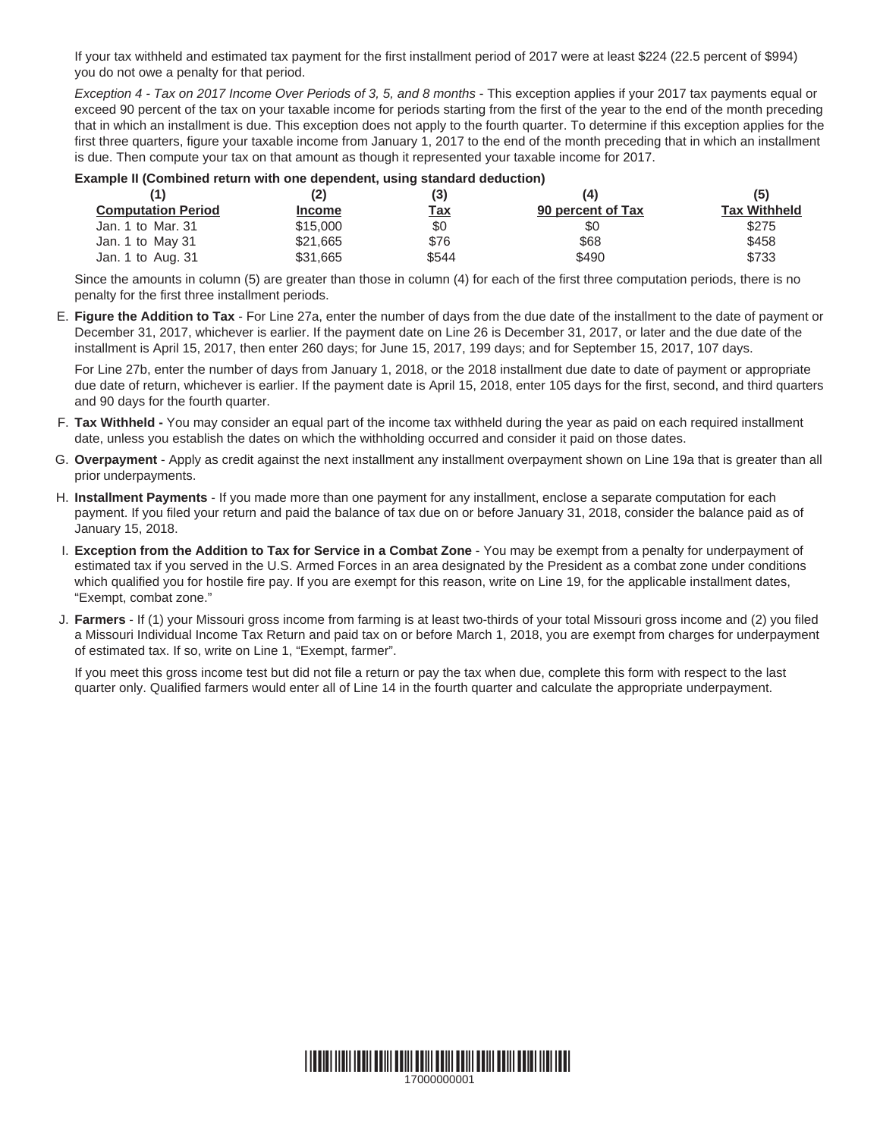If your tax withheld and estimated tax payment for the first installment period of 2017 were at least \$224 (22.5 percent of \$994) you do not owe a penalty for that period.

*Exception 4 - Tax on 2017 Income Over Periods of 3, 5, and 8 months - This exception applies if your 2017 tax payments equal or*  exceed 90 percent of the tax on your taxable income for periods starting from the first of the year to the end of the month preceding that in which an installment is due. This exception does not apply to the fourth quarter. To determine if this exception applies for the first three quarters, figure your taxable income from January 1, 2017 to the end of the month preceding that in which an installment is due. Then compute your tax on that amount as though it represented your taxable income for 2017.

### **Example II (Combined return with one dependent, using standard deduction)**

|                           |  | (2)<br>(3)    |            | (4)               | (5)                 |  |
|---------------------------|--|---------------|------------|-------------------|---------------------|--|
| <b>Computation Period</b> |  | <b>Income</b> | <u>Tax</u> | 90 percent of Tax | <b>Tax Withheld</b> |  |
| Jan. 1 to Mar. 31         |  | \$15,000      | \$0        | \$0               | \$275               |  |
| Jan. 1 to May 31          |  | \$21,665      | \$76       | \$68              | \$458               |  |
| Jan. 1 to Aug. 31         |  | \$31.665      | \$544      | \$490             | \$733               |  |

 Since the amounts in column (5) are greater than those in column (4) for each of the first three computation periods, there is no penalty for the first three installment periods.

E. **Figure the Addition to Tax** - For Line 27a, enter the number of days from the due date of the installment to the date of payment or December 31, 2017, whichever is earlier. If the payment date on Line 26 is December 31, 2017, or later and the due date of the installment is April 15, 2017, then enter 260 days; for June 15, 2017, 199 days; and for September 15, 2017, 107 days.

 For Line 27b, enter the number of days from January 1, 2018, or the 2018 installment due date to date of payment or appropriate due date of return, whichever is earlier. If the payment date is April 15, 2018, enter 105 days for the first, second, and third quarters and 90 days for the fourth quarter.

- F. **Tax Withheld** You may consider an equal part of the income tax withheld during the year as paid on each required installment date, unless you establish the dates on which the withholding occurred and consider it paid on those dates.
- G. **Overpayment** Apply as credit against the next installment any installment overpayment shown on Line 19a that is greater than all prior underpayments.
- H. **Installment Payments** If you made more than one payment for any installment, enclose a separate computation for each payment. If you filed your return and paid the balance of tax due on or before January 31, 2018, consider the balance paid as of January 15, 2018.
- I. **Exception from the Addition to Tax for Service in a Combat Zone** You may be exempt from a penalty for underpayment of estimated tax if you served in the U.S. Armed Forces in an area designated by the President as a combat zone under conditions which qualified you for hostile fire pay. If you are exempt for this reason, write on Line 19, for the applicable installment dates, "Exempt, combat zone."
- J. **Farmers** If (1) your Missouri gross income from farming is at least two-thirds of your total Missouri gross income and (2) you filed a Missouri Individual Income Tax Return and paid tax on or before March 1, 2018, you are exempt from charges for underpayment of estimated tax. If so, write on Line 1, "Exempt, farmer".

 If you meet this gross income test but did not file a return or pay the tax when due, complete this form with respect to the last quarter only. Qualified farmers would enter all of Line 14 in the fourth quarter and calculate the appropriate underpayment.